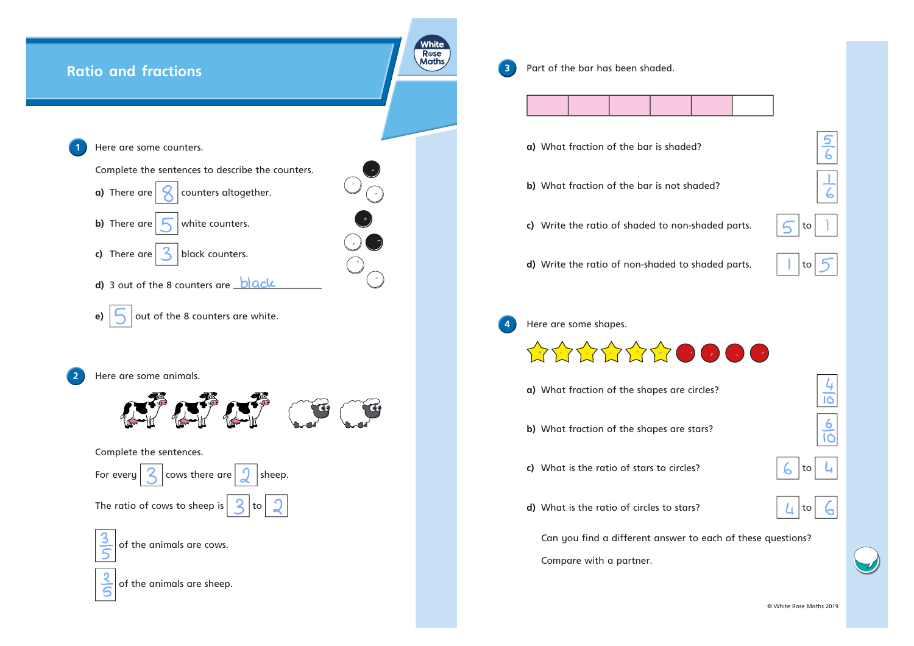

**3** Part of the bar has been shaded.



- **a)** What fraction of the bar is shaded?
- **b)** What fraction of the bar is not shaded?
- **c)** Write the ratio of shaded to non-shaded parts.  $\boxed{\bigcap}$  to



5  $\overline{6}$ 

6

**d)** Write the ratio of non-shaded to shaded parts.  $\begin{array}{c|c} \hline \end{array}$  to



**4** Here are some shapes.



- **a)** What fraction of the shapes are circles?
- **b)** What fraction of the shapes are stars?
- **c)** What is the ratio of stars to circles?
- 

 $\overline{16}$ 

6  $\overline{10}$ 

**d)** What is the ratio of circles to stars?



Can you find <sup>a</sup> different answer to each of these questions?

Compare with <sup>a</sup> partner.